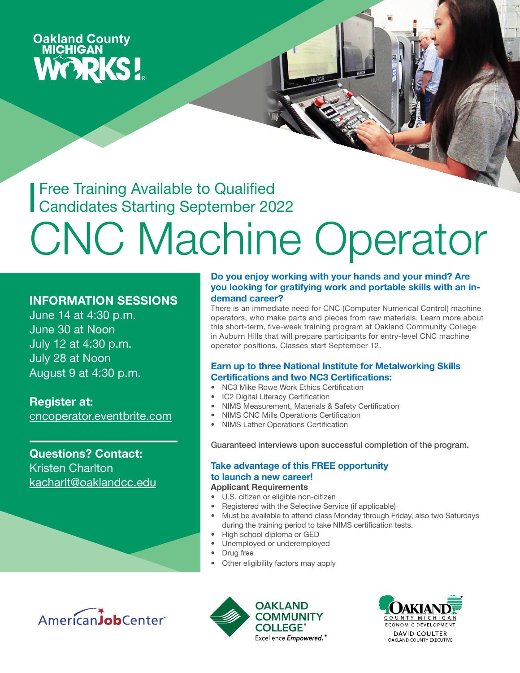# **Oakland County<br>MICHIGAN WORKS!**

**Free Training Available to Qualified** Candidates Starting September 2022

# CNC Machine Operator

#### INFORMATION SESSIONS

June 14 at 4:30 p.m. June 30 at Noon July 12 at 4:30 p.m. July 28 at Noon August 9 at 4:30 p.m.

Register at: [cncoperator.eventbrite.com](https://www.eventbrite.com/e/cnc-machine-operator-program-virtual-information-session-tickets-166061958789)

Questions? Contact: Kristen Charlton [kacharlt@oaklandcc.edu](mailto:kacharlt%40oaklandcc.edu?subject=)

#### Do you enjoy working with your hands and your mind? Are you looking for gratifying work and portable skills with an indemand career?

There is an immediate need for CNC (Computer Numerical Control) machine operators, who make parts and pieces from raw materials. Learn more about this short-term, five-week training program at Oakland Community College in Auburn Hills that will prepare participants for entry-level CNC machine operator positions. Classes start September 12.

#### Earn up to three National Institute for Metalworking Skills Certifications and two NC3 Certifications:

- NC3 Mike Rowe Work Ethics Certification
- IC2 Digital Literacy Certification
- NIMS Measurement, Materials & Safety Certification
- NIMS CNC Mills Operations Certification
- NIMS Lather Operations Certification

Guaranteed interviews upon successful completion of the program.

#### Take advantage of this FREE opportunity to launch a new career!

- Applicant Requirements
- U.S. citizen or eligible non-citizen
- Registered with the Selective Service (if applicable)
- Must be available to attend class Monday through Friday, also two Saturdays during the training period to take NIMS certification tests.
- High school diploma or GED
- Unemployed or underemployed
- Drug free
- Other eligibility factors may apply